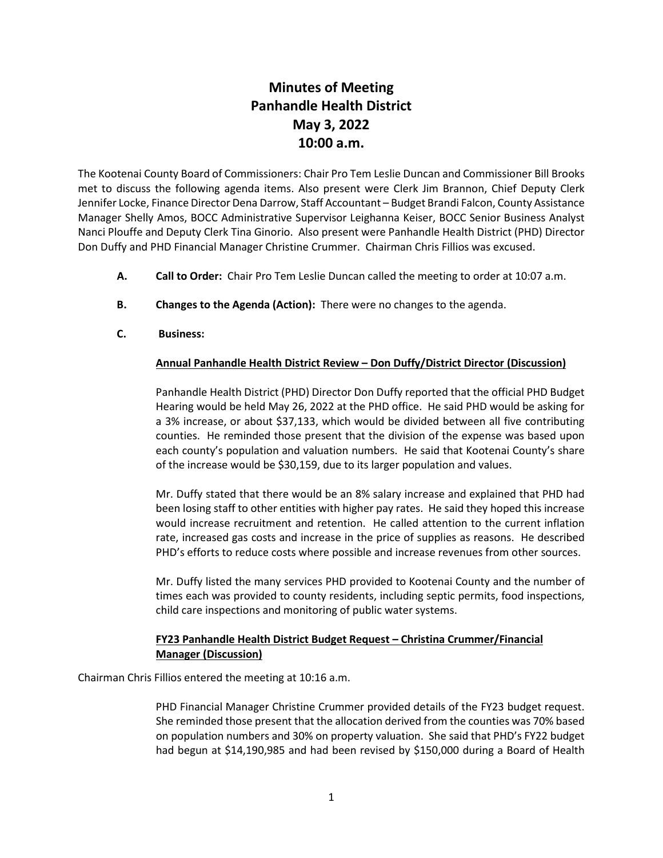## **Minutes of Meeting Panhandle Health District May 3, 2022 10:00 a.m.**

The Kootenai County Board of Commissioners: Chair Pro Tem Leslie Duncan and Commissioner Bill Brooks met to discuss the following agenda items. Also present were Clerk Jim Brannon, Chief Deputy Clerk Jennifer Locke, Finance Director Dena Darrow, Staff Accountant – Budget Brandi Falcon, County Assistance Manager Shelly Amos, BOCC Administrative Supervisor Leighanna Keiser, BOCC Senior Business Analyst Nanci Plouffe and Deputy Clerk Tina Ginorio. Also present were Panhandle Health District (PHD) Director Don Duffy and PHD Financial Manager Christine Crummer. Chairman Chris Fillios was excused.

- **A. Call to Order:** Chair Pro Tem Leslie Duncan called the meeting to order at 10:07 a.m.
- **B. Changes to the Agenda (Action):** There were no changes to the agenda.
- **C. Business:**

## **Annual Panhandle Health District Review – Don Duffy/District Director (Discussion)**

Panhandle Health District (PHD) Director Don Duffy reported that the official PHD Budget Hearing would be held May 26, 2022 at the PHD office. He said PHD would be asking for a 3% increase, or about \$37,133, which would be divided between all five contributing counties. He reminded those present that the division of the expense was based upon each county's population and valuation numbers. He said that Kootenai County's share of the increase would be \$30,159, due to its larger population and values.

Mr. Duffy stated that there would be an 8% salary increase and explained that PHD had been losing staff to other entities with higher pay rates. He said they hoped this increase would increase recruitment and retention. He called attention to the current inflation rate, increased gas costs and increase in the price of supplies as reasons. He described PHD's efforts to reduce costs where possible and increase revenues from other sources.

Mr. Duffy listed the many services PHD provided to Kootenai County and the number of times each was provided to county residents, including septic permits, food inspections, child care inspections and monitoring of public water systems.

## **FY23 Panhandle Health District Budget Request – Christina Crummer/Financial Manager (Discussion)**

Chairman Chris Fillios entered the meeting at 10:16 a.m.

PHD Financial Manager Christine Crummer provided details of the FY23 budget request. She reminded those present that the allocation derived from the counties was 70% based on population numbers and 30% on property valuation. She said that PHD's FY22 budget had begun at \$14,190,985 and had been revised by \$150,000 during a Board of Health